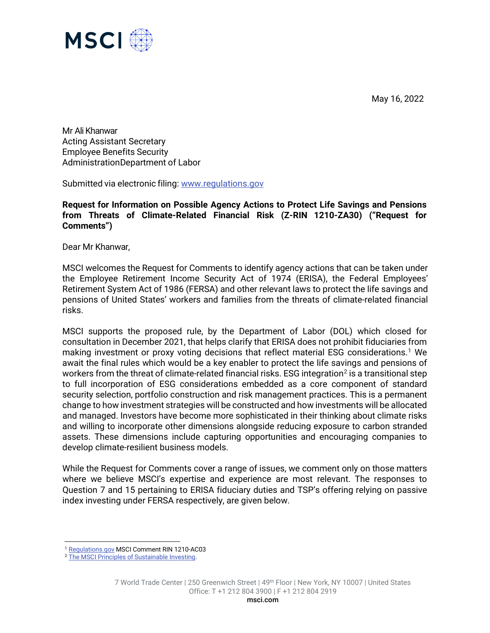May 16, 2022



Mr Ali Khanwar Acting Assistant Secretary Employee Benefits Security AdministrationDepartment of Labor

Submitted via electronic filing: [www.regulations.gov](http://www.regulations.gov/)

**Request for Information on Possible Agency Actions to Protect Life Savings and Pensions from Threats of Climate-Related Financial Risk (Z-RIN 1210-ZA30) ("Request for Comments")**

Dear Mr Khanwar,

MSCI welcomes the Request for Comments to identify agency actions that can be taken under the Employee Retirement Income Security Act of 1974 (ERISA), the Federal Employees' Retirement System Act of 1986 (FERSA) and other relevant laws to protect the life savings and pensions of United States' workers and families from the threats of climate-related financial risks.

MSCI supports the proposed rule, by the Department of Labor (DOL) which closed for consultation in December 2021, that helps clarify that ERISA does not prohibit fiduciaries from making investment or proxy voting decisions that reflect material ESG considerations.<sup>[1](#page-0-0)</sup> We await the final rules which would be a key enabler to protect the life savings and pensions of workers from the threat of climate-related financial risks. ESG integration<sup>[2](#page-0-1)</sup> is a transitional step to full incorporation of ESG considerations embedded as a core component of standard security selection, portfolio construction and risk management practices. This is a permanent change to how investment strategies will be constructed and how investments will be allocated and managed. Investors have become more sophisticated in their thinking about climate risks and willing to incorporate other dimensions alongside reducing exposure to carbon stranded assets. These dimensions include capturing opportunities and encouraging companies to develop climate-resilient business models.

While the Request for Comments cover a range of issues, we comment only on those matters where we believe MSCI's expertise and experience are most relevant. The responses to Question 7 and 15 pertaining to ERISA fiduciary duties and TSP's offering relying on passive index investing under FERSA respectively, are given below.

<span id="page-0-0"></span><sup>&</sup>lt;sup>1</sup> [Regulations.gov](https://www.regulations.gov/comment/EBSA-2021-0013-0691) MSCI Comment RIN 1210-AC03

<span id="page-0-1"></span><sup>2</sup> The MSCI Principles of Sustainable Investing.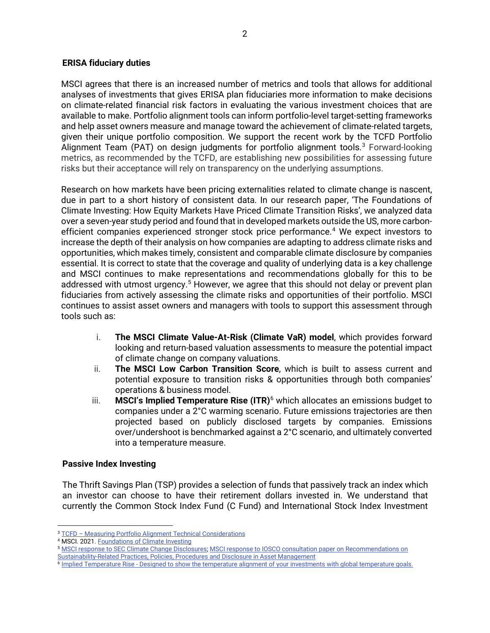### **ERISA fiduciary duties**

MSCI agrees that there is an increased number of metrics and tools that allows for additional analyses of investments that gives ERISA plan fiduciaries more information to make decisions on climate-related financial risk factors in evaluating the various investment choices that are available to make. Portfolio alignment tools can inform portfolio-level target-setting frameworks and help asset owners measure and manage toward the achievement of climate-related targets, given their unique portfolio composition. We support the recent work by the TCFD Portfolio Alignment Team (PAT) on design judgments for portfolio alignment tools.<sup>[3](#page-1-0)</sup> Forward-looking metrics, as recommended by the TCFD, are establishing new possibilities for assessing future risks but their acceptance will rely on transparency on the underlying assumptions.

Research on how markets have been pricing externalities related to climate change is nascent, due in part to a short history of consistent data. In our research paper, 'The Foundations of Climate Investing: How Equity Markets Have Priced Climate Transition Risks', we analyzed data over a seven-year study period and found that in developed markets outside the US, more carbonefficient companies experienced stronger stock price performance.<sup>4</sup> We expect investors to increase the depth of their analysis on how companies are adapting to address climate risks and opportunities, which makes timely, consistent and comparable climate disclosure by companies essential. It is correct to state that the coverage and quality of underlying data is a key challenge and MSCI continues to make representations and recommendations globally for this to be addressed with utmost urgency.<sup>[5](#page-1-2)</sup> However, we agree that this should not delay or prevent plan fiduciaries from actively assessing the climate risks and opportunities of their portfolio. MSCI continues to assist asset owners and managers with tools to support this assessment through tools such as:

- i. **The MSCI Climate Value-At-Risk (Climate VaR) model**, which provides forward looking and return-based valuation assessments to measure the potential impact of climate change on company valuations.
- ii. **The MSCI Low Carbon Transition Score**, which is built to assess current and potential exposure to transition risks & opportunities through both companies' operations & business model.
- iii. **MSCI's Implied Temperature Rise (ITR)**[6](#page-1-3) which allocates an emissions budget to companies under a 2°C warming scenario. Future emissions trajectories are then projected based on publicly disclosed targets by companies. Emissions over/undershoot is benchmarked against a 2°C scenario, and ultimately converted into a temperature measure.

## **Passive Index Investing**

The Thrift Savings Plan (TSP) provides a selection of funds that passively track an index which an investor can choose to have their retirement dollars invested in. We understand that currently the Common Stock Index Fund (C Fund) and International Stock Index Investment

<span id="page-1-0"></span><sup>3</sup> TCFD – [Measuring Portfolio Alignment Technical Considerations](https://assets.bbhub.io/company/sites/60/2021/05/2021-TCFD-Portfolio_Alignment_Technical_Supplement.pdf)

<span id="page-1-2"></span><span id="page-1-1"></span><sup>4</sup> MSCI. 2021[. Foundations of Climate Investing](https://www.msci.com/our-solutions/esg-investing/foundations-of-climate-investing)

<sup>5</sup> [MSCI response to SEC Climate Change Disclosures;](https://www.msci.com/documents/1296102/23003857/MSCI-submission-to-SEC-Climate-Disclosure-Consultation-Paper.pdf) [MSCI response to IOSCO consultation paper on Recommendations on](https://www.msci.com/documents/1296102/23400696/MSCI_Response_IOSCOs_Recommendations+on+Sustainability-Related+Practices%2C+Policies%2C+Procedures+and+Disclosure+in+Asset+Management.pdf)  [Sustainability-Related Practices, Policies, Procedures and Disclosure in Asset Management](https://www.msci.com/documents/1296102/23400696/MSCI_Response_IOSCOs_Recommendations+on+Sustainability-Related+Practices%2C+Policies%2C+Procedures+and+Disclosure+in+Asset+Management.pdf)

<span id="page-1-3"></span><sup>&</sup>lt;sup>6</sup> Implied Temperature Rise - [Designed to show the temperature alignment of your investments with global temperature goals.](https://www.msci.com/our-solutions/climate-investing/net-zero-solutions/implied-temperature-rise)